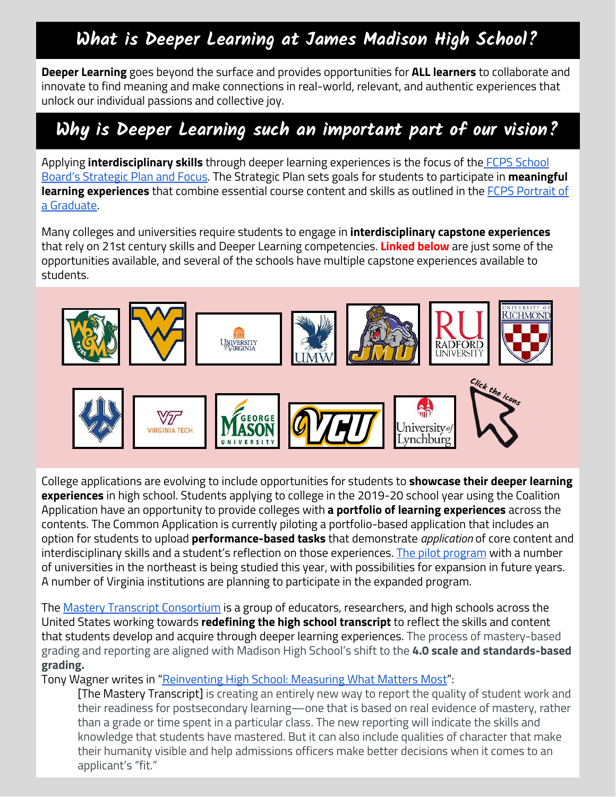## **What is Deeper Learning at James Madison High School?**

**Deeper Learning** goes beyond the surface and provides opportunities for **ALL learners** to collaborate and innovate to find meaning and make connections in real-world, relevant, and authentic experiences that unlock our individual passions and collective joy.

## **Why is Deeper Learning such an important part of our vision?**

Applying **interdisciplinary skills** through deeper learning experiences is the focus of the FCPS [School](https://www.fcps.edu/about-fcps/strategic-plan) Board's [Strategic](https://www.fcps.edu/about-fcps/strategic-plan) Plan and Focus. The Strategic Plan sets goals for students to participate in **meaningful learning experiences** that combine essential course content and skills as outlined in the FCPS [Portrait](https://www.fcps.edu/about-fcps/portrait-graduate) of a [Graduate.](https://www.fcps.edu/about-fcps/portrait-graduate)

Many colleges and universities require students to engage in **interdisciplinary capstone experiences** that rely on 21st century skills and Deeper Learning competencies. **Linked below** are just some of the opportunities available, and several of the schools have multiple capstone experiences available to students.



College applications are evolving to include opportunities for students to **showcase their deeper learning experiences** in high school. Students applying to college in the 2019-20 school year using the Coalition Application have an opportunity to provide colleges with **a portfolio of learning experiences** across the contents. The Common Application is currently piloting a portfolio-based application that includes an option for students to upload **performance-based tasks** that demonstrate *application* of core content and interdisciplinary skills and a student's reflection on those experiences. The pilot [program](https://learningpolicyinstitute.org/sites/default/files/product-files/RCA_2019_Pilot_FLYER.pdf) with a number of universities in the northeast is being studied this year, with possibilities for expansion in future years. A number of Virginia institutions are planning to participate in the expanded program.

The Mastery Transcript [Consortium](https://mastery.org/) is a group of educators, researchers, and high schools across the United States working towards **redefining the high school transcript** to reflect the skills and content that students develop and acquire through deeper learning experiences. The process of mastery-based grading and reporting are aligned with Madison High School's shift to the **4.0 scale and standards-based grading.**

Tony Wagner writes in ["Reinventing](https://mastery.org/reinventing-high-school-measuring-what-matters-most/) High School: Measuring What Matters Most":

[The Mastery Transcript] is creating an entirely new way to report the quality of student work and their readiness for postsecondary learning—one that is based on real evidence of mastery, rather than a grade or time spent in a particular class. The new reporting will indicate the skills and knowledge that students have mastered. But it can also include qualities of character that make their humanity visible and help admissions officers make better decisions when it comes to an applicant's "fit."